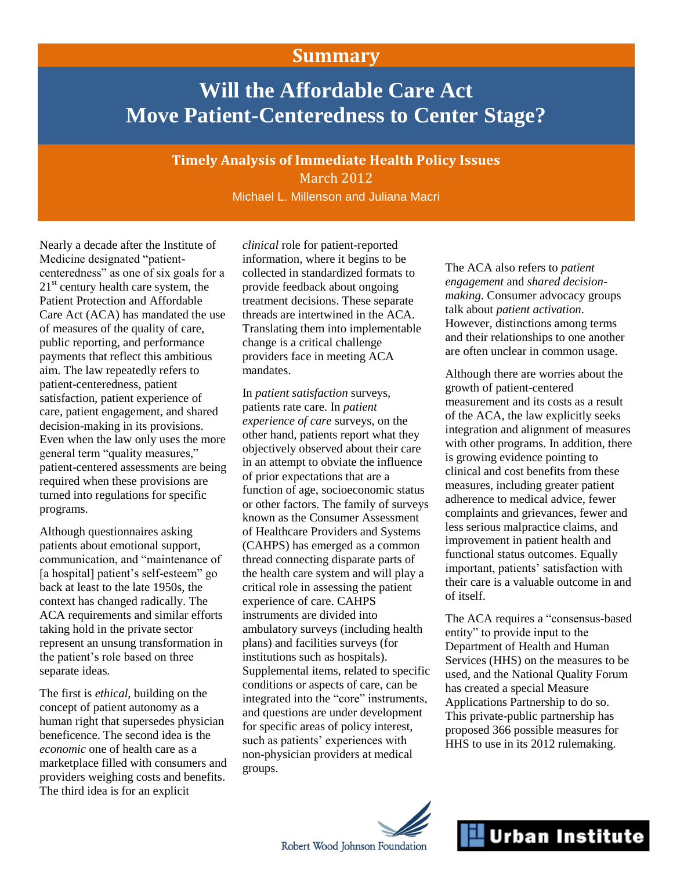## **Summary**

# **Will the Affordable Care Act Move Patient-Centeredness to Center Stage?**

**Timely Analysis of Immediate Health Policy Issues** March 2012

Michael L. Millenson and Juliana Macri

Nearly a decade after the Institute of Medicine designated "patientcenteredness" as one of six goals for a  $21<sup>st</sup>$  century health care system, the Patient Protection and Affordable Care Act (ACA) has mandated the use of measures of the quality of care, public reporting, and performance payments that reflect this ambitious aim. The law repeatedly refers to patient-centeredness, patient satisfaction, patient experience of care, patient engagement, and shared decision-making in its provisions. Even when the law only uses the more general term "quality measures," patient-centered assessments are being required when these provisions are turned into regulations for specific programs.

Although questionnaires asking patients about emotional support, communication, and "maintenance of [a hospital] patient's self-esteem" go back at least to the late 1950s, the context has changed radically. The ACA requirements and similar efforts taking hold in the private sector represent an unsung transformation in the patient's role based on three separate ideas.

The first is *ethical*, building on the concept of patient autonomy as a human right that supersedes physician beneficence. The second idea is the *economic* one of health care as a marketplace filled with consumers and providers weighing costs and benefits. The third idea is for an explicit

*clinical* role for patient-reported information, where it begins to be collected in standardized formats to provide feedback about ongoing treatment decisions. These separate threads are intertwined in the ACA. Translating them into implementable change is a critical challenge providers face in meeting ACA mandates.

In *patient satisfaction* surveys, patients rate care. In *patient experience of care* surveys, on the other hand, patients report what they objectively observed about their care in an attempt to obviate the influence of prior expectations that are a function of age, socioeconomic status or other factors. The family of surveys known as the Consumer Assessment of Healthcare Providers and Systems (CAHPS) has emerged as a common thread connecting disparate parts of the health care system and will play a critical role in assessing the patient experience of care. CAHPS instruments are divided into ambulatory surveys (including health plans) and facilities surveys (for institutions such as hospitals). Supplemental items, related to specific conditions or aspects of care, can be integrated into the "core" instruments, and questions are under development for specific areas of policy interest, such as patients' experiences with non-physician providers at medical groups.

The ACA also refers to *patient engagement* and *shared decisionmaking*. Consumer advocacy groups talk about *patient activation*. However, distinctions among terms and their relationships to one another are often unclear in common usage.

Although there are worries about the growth of patient-centered measurement and its costs as a result of the ACA, the law explicitly seeks integration and alignment of measures with other programs. In addition, there is growing evidence pointing to clinical and cost benefits from these measures, including greater patient adherence to medical advice, fewer complaints and grievances, fewer and less serious malpractice claims, and improvement in patient health and functional status outcomes. Equally important, patients' satisfaction with their care is a valuable outcome in and of itself.

The ACA requires a "consensus-based entity" to provide input to the Department of Health and Human Services (HHS) on the measures to be used, and the National Quality Forum has created a special Measure Applications Partnership to do so. This private-public partnership has proposed 366 possible measures for HHS to use in its 2012 rulemaking.



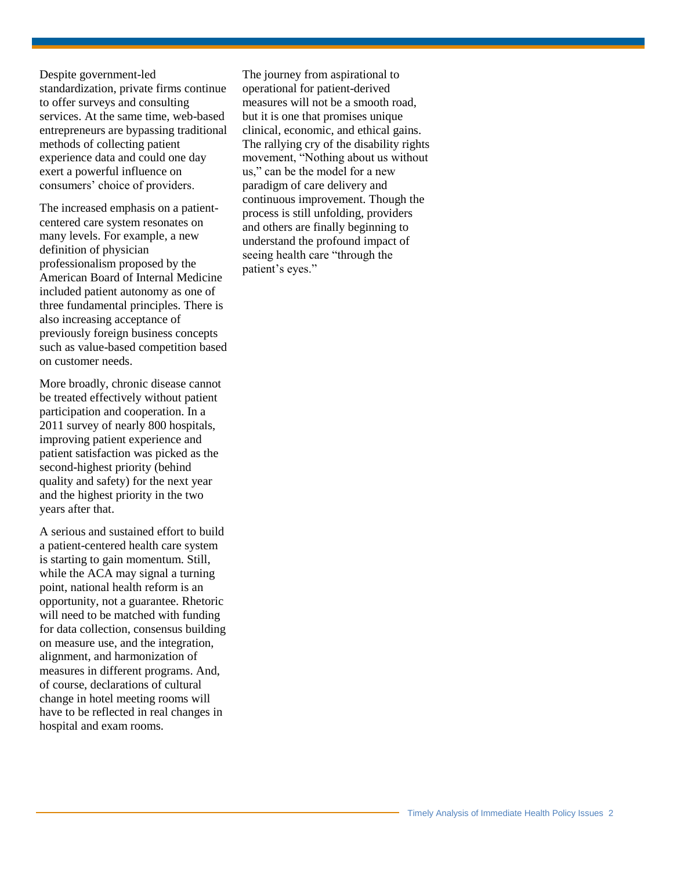Despite government-led standardization, private firms continue to offer surveys and consulting services. At the same time, web-based entrepreneurs are bypassing traditional methods of collecting patient experience data and could one day exert a powerful influence on consumers' choice of providers.

The increased emphasis on a patientcentered care system resonates on many levels. For example, a new definition of physician professionalism proposed by the American Board of Internal Medicine included patient autonomy as one of three fundamental principles. There is also increasing acceptance of previously foreign business concepts such as value-based competition based on customer needs.

More broadly, chronic disease cannot be treated effectively without patient participation and cooperation. In a 2011 survey of nearly 800 hospitals, improving patient experience and patient satisfaction was picked as the second-highest priority (behind quality and safety) for the next year and the highest priority in the two years after that.

A serious and sustained effort to build a patient-centered health care system is starting to gain momentum. Still, while the ACA may signal a turning point, national health reform is an opportunity, not a guarantee. Rhetoric will need to be matched with funding for data collection, consensus building on measure use, and the integration, alignment, and harmonization of measures in different programs. And, of course, declarations of cultural change in hotel meeting rooms will have to be reflected in real changes in hospital and exam rooms.

The journey from aspirational to operational for patient-derived measures will not be a smooth road, but it is one that promises unique clinical, economic, and ethical gains. The rallying cry of the disability rights movement, "Nothing about us without us," can be the model for a new paradigm of care delivery and continuous improvement. Though the process is still unfolding, providers and others are finally beginning to understand the profound impact of seeing health care "through the patient's eyes."